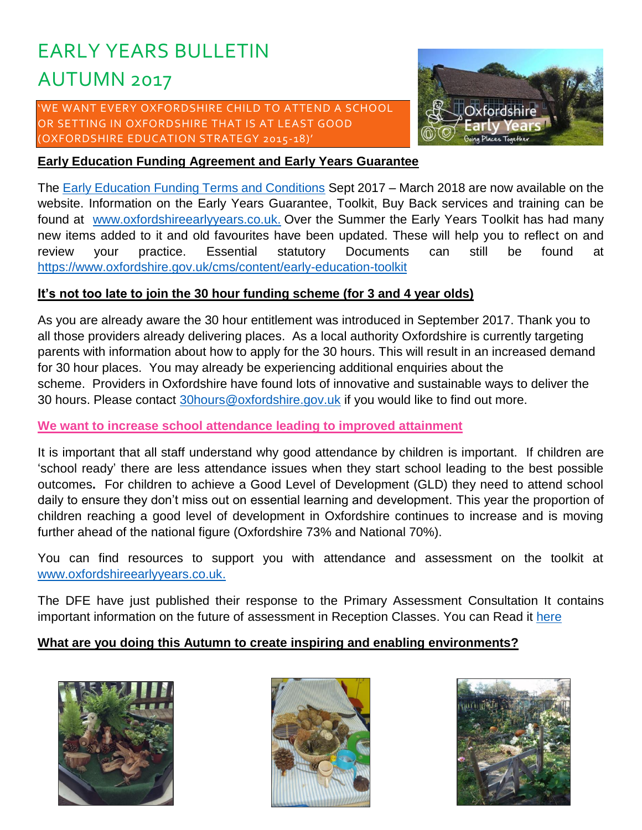# EARLY YEARS BULLETIN AUTUMN 2017

'WE WANT EVERY OXFORDSHIRE CHILD TO ATTEND A SCHOOL OR SETTING IN OXFORDSHIRE THAT IS AT LEAST GOOD (OXFORDSHIRE EDUCATION STRATEGY 2015-18)'



#### **Early Education Funding Agreement and Early Years Guarantee**

The [Early Education Funding Terms and Conditions](https://www.oxfordshire.gov.uk/cms/sites/default/files/folders/documents/childreneducationandfamilies/workingwithchildren/publicationssettings/NurseyEducationFundingTerms.pdf) Sept 2017 - March 2018 are now available on the website. Information on the Early Years Guarantee, Toolkit, Buy Back services and training can be found at [www.oxfordshireearlyyears.co.uk.](http://www.oxfordshireearlyyears.co.uk/) Over the Summer the Early Years Toolkit has had many new items added to it and old favourites have been updated. These will help you to reflect on and review your practice. Essential statutory Documents can still be found at <https://www.oxfordshire.gov.uk/cms/content/early-education-toolkit>

#### **It's not too late to join the 30 hour funding scheme (for 3 and 4 year olds)**

As you are already aware the 30 hour entitlement was introduced in September 2017. Thank you to all those providers already delivering places. As a local authority Oxfordshire is currently targeting parents with information about how to apply for the 30 hours. This will result in an increased demand for 30 hour places. You may already be experiencing additional enquiries about the scheme. Providers in Oxfordshire have found lots of innovative and sustainable ways to deliver the 30 hours. Please contact 30 hours@oxfordshire.gov.uk if you would like to find out more.

#### **We want to increase school attendance leading to improved attainment**

It is important that all staff understand why good attendance by children is important. If children are 'school ready' there are less attendance issues when they start school leading to the best possible outcomes**.** For children to achieve a Good Level of Development (GLD) they need to attend school daily to ensure they don't miss out on essential learning and development. This year the proportion of children reaching a good level of development in Oxfordshire continues to increase and is moving further ahead of the national figure (Oxfordshire 73% and National 70%).

You can find resources to support you with attendance and assessment on the toolkit at [www.oxfordshireearlyyears.co.uk.](http://www.oxfordshireearlyyears.co.uk/)

The DFE have just published their response to the Primary Assessment Consultation It contains important information on the future of assessment in Reception Classes. You can Read it [here](https://www.gov.uk/government/news/improvements-to-the-primary-assessment-system-announced)

# **What are you doing this Autumn to create inspiring and enabling environments?**





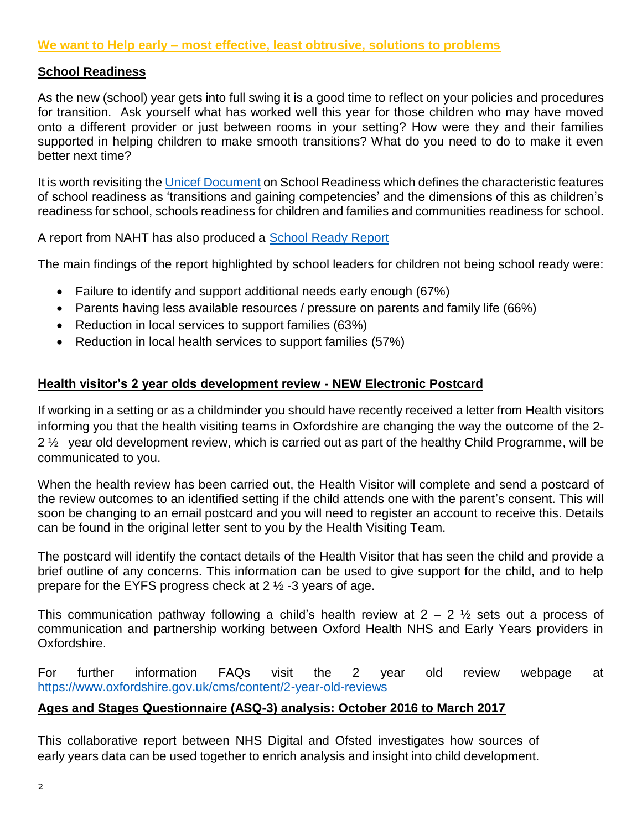#### **School Readiness**

As the new (school) year gets into full swing it is a good time to reflect on your policies and procedures for transition. Ask yourself what has worked well this year for those children who may have moved onto a different provider or just between rooms in your setting? How were they and their families supported in helping children to make smooth transitions? What do you need to do to make it even better next time?

It is worth revisiting the [Unicef Document](https://www.unicef.org/education/files/Chil2Child_ConceptualFramework_FINAL(1).pdf) on School Readiness which defines the characteristic features of school readiness as 'transitions and gaining competencies' and the dimensions of this as children's readiness for school, schools readiness for children and families and communities readiness for school.

A report from NAHT has also produced a [School Ready Report](http://www.naht.org.uk/welcome/news-and-media/key-topics/funding/children-are-less-ready-for-school-than-five-years-ago/)

The main findings of the report highlighted by school leaders for children not being school ready were:

- Failure to identify and support additional needs early enough (67%)
- Parents having less available resources / pressure on parents and family life (66%)
- Reduction in local services to support families (63%)
- Reduction in local health services to support families (57%)

# **Health visitor's 2 year olds development review - NEW Electronic Postcard**

If working in a setting or as a childminder you should have recently received a letter from Health visitors informing you that the health visiting teams in Oxfordshire are changing the way the outcome of the 2- 2 ½ year old development review, which is carried out as part of the healthy Child Programme, will be communicated to you.

When the health review has been carried out, the Health Visitor will complete and send a postcard of the review outcomes to an identified setting if the child attends one with the parent's consent. This will soon be changing to an email postcard and you will need to register an account to receive this. Details can be found in the original letter sent to you by the Health Visiting Team.

The postcard will identify the contact details of the Health Visitor that has seen the child and provide a brief outline of any concerns. This information can be used to give support for the child, and to help prepare for the EYFS progress check at 2 ½ -3 years of age.

This communication pathway following a child's health review at  $2 - 2$  % sets out a process of communication and partnership working between Oxford Health NHS and Early Years providers in Oxfordshire.

For further information FAQs visit the 2 year old review webpage at <https://www.oxfordshire.gov.uk/cms/content/2-year-old-reviews>

# **[Ages and Stages Questionnaire \(ASQ-3\) analysis: October 2016 to March 2017](http://links.govdelivery.com/track?type=click&enid=ZWFzPTEmbXNpZD0mYXVpZD0mbWFpbGluZ2lkPTIwMTcwOTEyLjc4MDA2MzQxJm1lc3NhZ2VpZD1NREItUFJELUJVTC0yMDE3MDkxMi43ODAwNjM0MSZkYXRhYmFzZWlkPTEwMDEmc2VyaWFsPTE3MTA5NTY3JmVtYWlsaWQ9cGF1bGEubG9jaHJpZUBveGZvcmRzaGlyZS5nb3YudWsmdXNlcmlkPXBhdWxhLmxvY2hyaWVAb3hmb3Jkc2hpcmUuZ292LnVrJnRhcmdldGlkPSZmbD0mbXZpZD0mZXh0cmE9JiYm&&&101&&&https://www.gov.uk/government/publications/ages-and-stages-questionnaire-asq-3-analysis-october-2016-to-march-2017)**

This collaborative report between NHS Digital and Ofsted investigates how sources of early years data can be used together to enrich analysis and insight into child development.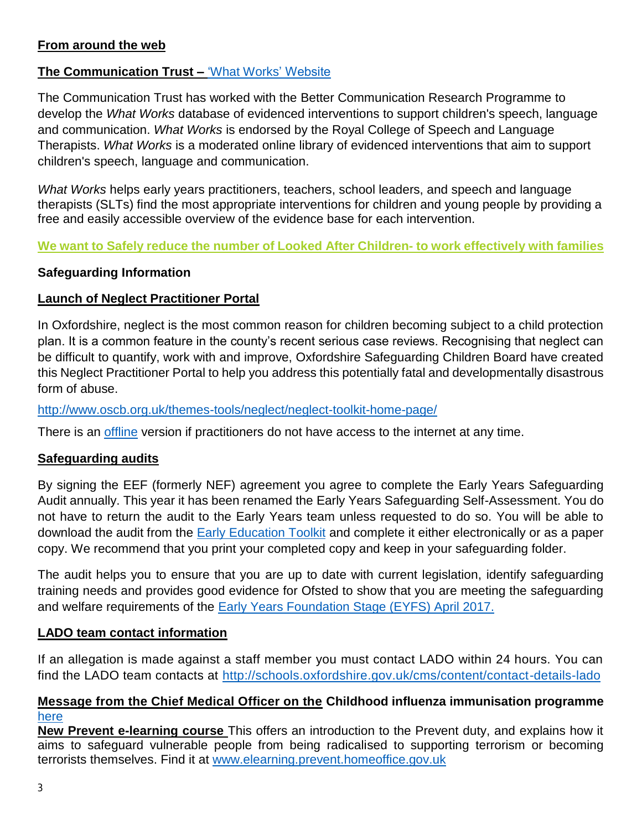# **From around the web**

# **The Communication Trust –** ['What Works' Website](http://www.thecommunicationtrust.org.uk/projects/what-works.aspx)

The Communication Trust has worked with the [Better Communication Research Programme](http://www2.warwick.ac.uk/fac/soc/cedar/better/) to develop the *What Works* database of evidenced interventions to support children's speech, language and communication. *What Works* is endorsed by [the Royal College of Speech and Language](http://www.rcslt.org/)  [Therapists.](http://www.rcslt.org/) *What Works* is a moderated online library of evidenced interventions that aim to support children's speech, language and communication.

*What Works* helps early years practitioners, teachers, school leaders, and speech and language therapists (SLTs) find the most appropriate interventions for children and young people by providing a free and easily accessible overview of the evidence base for each intervention.

#### **We want to Safely reduce the number of Looked After Children- to work effectively with families**

#### **Safeguarding Information**

# **Launch of Neglect Practitioner Portal**

In Oxfordshire, neglect is the most common reason for children becoming subject to a child protection plan. It is a common feature in the county's recent serious case reviews. Recognising that neglect can be difficult to quantify, work with and improve, Oxfordshire Safeguarding Children Board have created this Neglect Practitioner Portal to help you address this potentially fatal and developmentally disastrous form of abuse.

<http://www.oscb.org.uk/themes-tools/neglect/neglect-toolkit-home-page/>

There is an [offline](http://www.oscb.org.uk/wp-content/uploads/Neglect_Practitioner_Portal_Offline.ppsx) version if practitioners do not have access to the internet at any time.

#### **Safeguarding audits**

By signing the EEF (formerly NEF) agreement you agree to complete the Early Years Safeguarding Audit annually. This year it has been renamed the Early Years Safeguarding Self-Assessment. You do not have to return the audit to the Early Years team unless requested to do so. You will be able to download the audit from the [Early Education Toolkit](https://www.oxfordshire.gov.uk/cms/content/early-education-toolkit) and complete it either electronically or as a paper copy. We recommend that you print your completed copy and keep in your safeguarding folder.

The audit helps you to ensure that you are up to date with current legislation, identify safeguarding training needs and provides good evidence for Ofsted to show that you are meeting the safeguarding and welfare requirements of the [Early Years Foundation Stage \(EYFS\) April 2017.](https://www.gov.uk/government/publications/early-years-foundation-stage-framework--2)

#### **LADO team contact information**

If an allegation is made against a staff member you must contact LADO within 24 hours. You can find the LADO team contacts at<http://schools.oxfordshire.gov.uk/cms/content/contact-details-lado>

#### **Message from the Chief Medical Officer on the Childhood influenza immunisation programme**  [here](https://www.foundationyears.org.uk/wp-content/uploads/2017/09/Letter-to-early-years-sector-2017.pdf)

**New Prevent e-learning course** This offers an introduction to the Prevent duty, and explains how it aims to safeguard vulnerable people from being radicalised to supporting terrorism or becoming terrorists themselves. Find it at [www.elearning.prevent.homeoffice.gov.uk](http://www.elearning.prevent.homeoffice.gov.uk/)